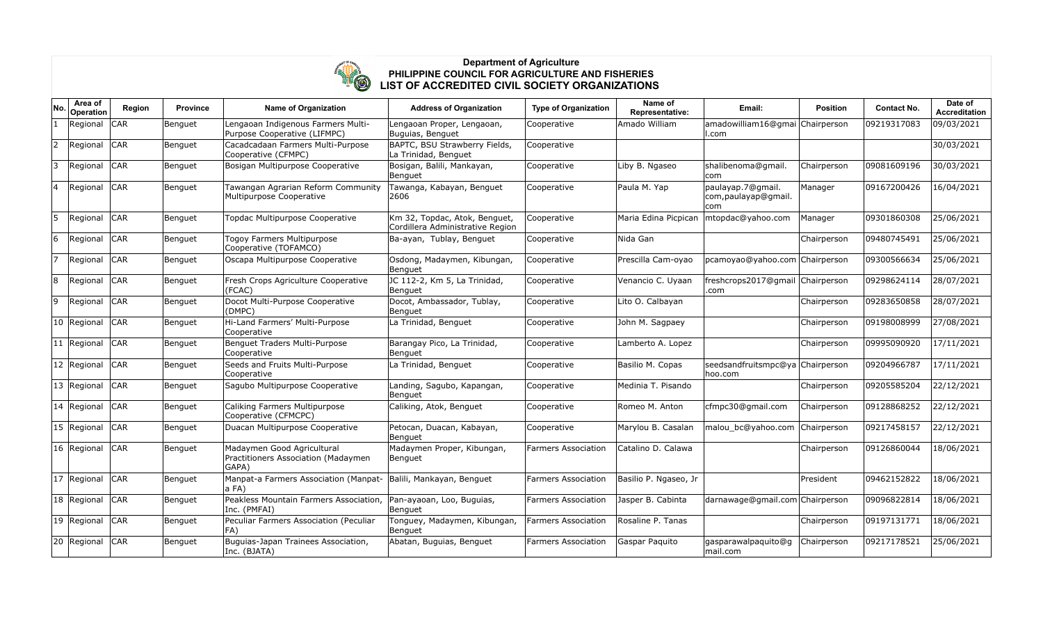

## **Department of Agriculture PHILIPPINE COUNCIL FOR AGRICULTURE AND FISHERIES LIST OF ACCREDITED CIVIL SOCIETY ORGANIZATIONS**

| No | Area of<br>Operation | Region     | <b>Province</b> | <b>Name of Organization</b>                                                | <b>Address of Organization</b>                                    | <b>Type of Organization</b> | Name of<br>Representative: | Email:                                             | <b>Position</b> | <b>Contact No.</b> | Date of<br><b>Accreditation</b> |
|----|----------------------|------------|-----------------|----------------------------------------------------------------------------|-------------------------------------------------------------------|-----------------------------|----------------------------|----------------------------------------------------|-----------------|--------------------|---------------------------------|
|    | Regional             | <b>CAR</b> | Benguet         | Lengaoan Indigenous Farmers Multi-<br>Purpose Cooperative (LIFMPC)         | Lengaoan Proper, Lengaoan,<br>Buguias, Benguet                    | Cooperative                 | Amado William              | amadowilliam16@gmai Chairperson<br>ll.com          |                 | 09219317083        | 09/03/2021                      |
| 2  | Regional             | <b>CAR</b> | Benguet         | Cacadcadaan Farmers Multi-Purpose<br>Cooperative (CFMPC)                   | BAPTC, BSU Strawberry Fields,<br>La Trinidad, Benguet             | Cooperative                 |                            |                                                    |                 |                    | 30/03/2021                      |
| 3  | Regional             | <b>CAR</b> | Benguet         | Bosigan Multipurpose Cooperative                                           | Bosigan, Balili, Mankayan,<br>Benguet                             | Cooperative                 | Liby B. Ngaseo             | shalibenoma@gmail.<br>lcom.                        | Chairperson     | 09081609196        | 30/03/2021                      |
| 14 | Regional             | <b>CAR</b> | Benguet         | Tawangan Agrarian Reform Community<br>Multipurpose Cooperative             | Tawanga, Kabayan, Benguet<br>2606                                 | Cooperative                 | Paula M. Yap               | paulayap.7@gmail.<br>com, paulayap@gmail.<br>lcom. | Manager         | 09167200426        | 16/04/2021                      |
| 5  | Regional             | <b>CAR</b> | Benguet         | Topdac Multipurpose Cooperative                                            | Km 32, Topdac, Atok, Benguet,<br>Cordillera Administrative Region | Cooperative                 | Maria Edina Picpican       | mtopdac@yahoo.com                                  | Manager         | 09301860308        | 25/06/2021                      |
| 6  | Regional             | <b>CAR</b> | Benguet         | Togoy Farmers Multipurpose<br>Cooperative (TOFAMCO)                        | Ba-ayan, Tublay, Benguet                                          | Cooperative                 | Nida Gan                   |                                                    | Chairperson     | 09480745491        | 25/06/2021                      |
| 7  | Regional             | <b>CAR</b> | Benguet         | Oscapa Multipurpose Cooperative                                            | Osdong, Madaymen, Kibungan,<br>Benguet                            | Cooperative                 | Prescilla Cam-oyao         | pcamoyao@yahoo.com Chairperson                     |                 | 09300566634        | 25/06/2021                      |
| 8  | Regional             | <b>CAR</b> | Benguet         | Fresh Crops Agriculture Cooperative<br>(FCAC)                              | JC 112-2, Km 5, La Trinidad,<br>Benguet                           | Cooperative                 | Venancio C. Uyaan          | freshcrops2017@gmail Chairperson<br>.com           |                 | 09298624114        | 28/07/2021                      |
| 9  | Regional             | <b>CAR</b> | Benguet         | Docot Multi-Purpose Cooperative<br>(DMPC)                                  | Docot, Ambassador, Tublay,<br>Benguet                             | Cooperative                 | Lito O. Calbayan           |                                                    | Chairperson     | 09283650858        | 28/07/2021                      |
|    | 10 Regional          | <b>CAR</b> | Benguet         | Hi-Land Farmers' Multi-Purpose<br>Cooperative                              | La Trinidad, Benguet                                              | Cooperative                 | John M. Sagpaey            |                                                    | Chairperson     | 09198008999        | 27/08/2021                      |
|    | 11 Regional          | <b>CAR</b> | Benguet         | Benguet Traders Multi-Purpose<br>Cooperative                               | Barangay Pico, La Trinidad,<br>Benguet                            | Cooperative                 | Lamberto A. Lopez          |                                                    | Chairperson     | 09995090920        | 17/11/2021                      |
|    | 12 Regional          | <b>CAR</b> | Benguet         | Seeds and Fruits Multi-Purpose<br>Cooperative                              | La Trinidad, Benguet                                              | Cooperative                 | Basilio M. Copas           | seedsandfruitsmpc@ya Chairperson<br>hoo.com        |                 | 09204966787        | 17/11/2021                      |
|    | 13 Regional          | <b>CAR</b> | Benguet         | Sagubo Multipurpose Cooperative                                            | Landing, Sagubo, Kapangan,<br>Benguet                             | Cooperative                 | Medinia T. Pisando         |                                                    | Chairperson     | 09205585204        | 22/12/2021                      |
|    | 14 Regional          | <b>CAR</b> | Benguet         | Caliking Farmers Multipurpose<br>Cooperative (CFMCPC)                      | Caliking, Atok, Benguet                                           | Cooperative                 | Romeo M. Anton             | cfmpc30@gmail.com                                  | Chairperson     | 09128868252        | 22/12/2021                      |
|    | 15 Regional          | <b>CAR</b> | Benguet         | Duacan Multipurpose Cooperative                                            | Petocan, Duacan, Kabayan,<br>Benguet                              | Cooperative                 | Marylou B. Casalan         | malou_bc@yahoo.com                                 | Chairperson     | 09217458157        | 22/12/2021                      |
|    | 16 Regional          | <b>CAR</b> | Benguet         | Madaymen Good Agricultural<br>Practitioners Association (Madaymen<br>GAPA) | Madaymen Proper, Kibungan,<br>Benguet                             | <b>Farmers Association</b>  | Catalino D. Calawa         |                                                    | Chairperson     | 09126860044        | 18/06/2021                      |
|    | $17$ Regional        | <b>CAR</b> | Benguet         | Manpat-a Farmers Association (Manpat-<br>la FA)                            | Balili, Mankayan, Benguet                                         | <b>Farmers Association</b>  | Basilio P. Ngaseo, Jr      |                                                    | President       | 09462152822        | 18/06/2021                      |
|    | 18 Regional          | <b>CAR</b> | Benguet         | Peakless Mountain Farmers Association,<br>Inc. (PMFAI)                     | Pan-ayaoan, Loo, Buguias,<br>Benguet                              | <b>Farmers Association</b>  | Jasper B. Cabinta          | darnawage@gmail.com Chairperson                    |                 | 09096822814        | 18/06/2021                      |
|    | 19 Regional          | <b>CAR</b> | Benguet         | Peculiar Farmers Association (Peculiar<br>IFA)                             | Tonguey, Madaymen, Kibungan,<br>Benguet                           | Farmers Association         | Rosaline P. Tanas          |                                                    | Chairperson     | 09197131771        | 18/06/2021                      |
|    | 20 Regional          | <b>CAR</b> | Benguet         | Buguias-Japan Trainees Association,<br>Inc. (BJATA)                        | Abatan, Buguias, Benguet                                          | <b>Farmers Association</b>  | Gaspar Paquito             | gasparawalpaquito@q<br>mail.com                    | Chairperson     | 09217178521        | 25/06/2021                      |